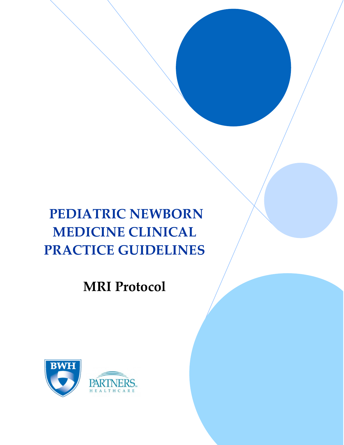# **PEDIATRIC NEWBORN MEDICINE CLINICAL PRACTICE GUIDELINES**

**MRI Protocol**

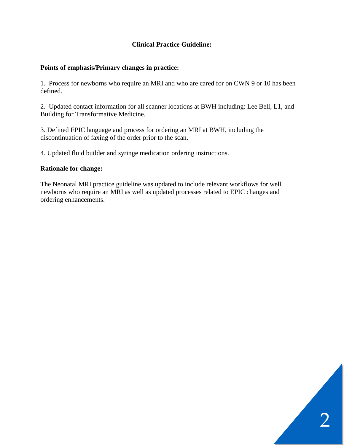## **Clinical Practice Guideline:**

#### **Points of emphasis/Primary changes in practice:**

1. Process for newborns who require an MRI and who are cared for on CWN 9 or 10 has been defined.

2. Updated contact information for all scanner locations at BWH including: Lee Bell, L1, and Building for Transformative Medicine.

3. Defined EPIC language and process for ordering an MRI at BWH, including the discontinuation of faxing of the order prior to the scan.

4. Updated fluid builder and syringe medication ordering instructions.

#### **Rationale for change:**

The Neonatal MRI practice guideline was updated to include relevant workflows for well newborns who require an MRI as well as updated processes related to EPIC changes and ordering enhancements.

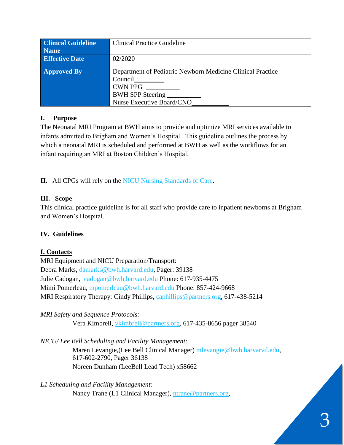| <b>Clinical Guideline</b> | <b>Clinical Practice Guideline</b>                         |  |  |
|---------------------------|------------------------------------------------------------|--|--|
| <b>Name</b>               |                                                            |  |  |
| <b>Effective Date</b>     | 02/2020                                                    |  |  |
| <b>Approved By</b>        | Department of Pediatric Newborn Medicine Clinical Practice |  |  |
|                           | Council                                                    |  |  |
|                           | <b>CWN PPG</b>                                             |  |  |
|                           | BWH SPP Steering                                           |  |  |
|                           | Nurse Executive Board/CNO                                  |  |  |

#### **I. Purpose**

The Neonatal MRI Program at BWH aims to provide and optimize MRI services available to infants admitted to Brigham and Women's Hospital. This guideline outlines the process by which a neonatal MRI is scheduled and performed at BWH as well as the workflows for an infant requiring an MRI at Boston Children's Hospital.

**II.** All CPGs will rely on the [NICU Nursing Standards of Care.](http://www.bwhpikenotes.org/policies/Nursing/CWN_Clinical_Practice_Manual/NICU/NICU_Standards.pdf)

# **III. Scope**

This clinical practice guideline is for all staff who provide care to inpatient newborns at Brigham and Women's Hospital.

# **IV. Guidelines**

# **I. Contacts**

MRI Equipment and NICU Preparation/Transport: Debra Marks, [damarks@bwh.harvard.edu,](mailto:damarks@bwh.harvard.edu) Pager: 39138 Julie Cadogan, [jcadogan@bwh.harvard.edu](mailto:jcadogan@bwh.harvard.edu) Phone: 617-935-4475 Mimi Pomerleau, [mpomerleau@bwh.harvard.edu](mailto:mpomerleau@bwh.harvard.edu) Phone: 857-424-9668 MRI Respiratory Therapy: Cindy Phillips, [caphillips@partners.org,](mailto:caphillips@partners.org) 617-438-5214

# *MRI Safety and Sequence Protocols:*

Vera Kimbrell, [vkimbrell@partners.org,](mailto:vkimbrell@partners.org) 617-435-8656 pager 38540

*NICU/ Lee Bell Scheduling and Facility Management*:

Maren Levangie,(Lee Bell Clinical Manager) [mlevangie@bwh.harvarvd.edu,](mailto:mlevangie@bwh.harvarvd.edu) 617-602-2790, Pager 36138 Noreen Dunham (LeeBell Lead Tech) x58662

*L1 Scheduling and Facility Management:*  Nancy Trane (L1 Clinical Manager), [ntrane@partners.org,](mailto:ntrane@partners.org)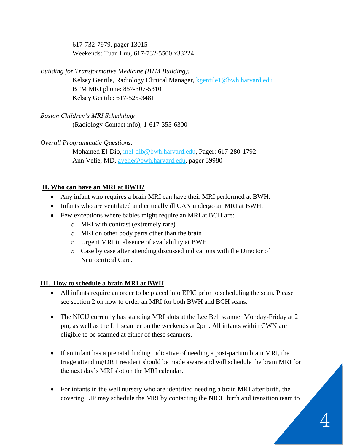617-732-7979, pager 13015 Weekends: Tuan Luu, 617-732-5500 x33224

*Building for Transformative Medicine (BTM Building):*

Kelsey Gentile, Radiology Clinical Manager, [kgentile1@bwh.harvard.edu](mailto:kgentile1@bwh.harvard.edu) BTM MRI phone: 857-307-5310 Kelsey Gentile: 617-525-3481

*Boston Children's MRI Scheduling*  (Radiology Contact info), 1-617-355-6300

# *Overall Programmatic Questions:*

 Mohamed El-Dib, [mel-dib@bwh.harvard.edu,](mailto:mel-dib@bwh.harvard.edu) Pager: 617-280-1792 Ann Velie, MD, [avelie@bwh.harvard.edu,](mailto:avelie@bwh.harvard.edu) pager 39980

# **II. Who can have an MRI at BWH?**

- Any infant who requires a brain MRI can have their MRI performed at BWH.
- Infants who are ventilated and critically ill CAN undergo an MRI at BWH.
- Few exceptions where babies might require an MRI at BCH are:
	- o MRI with contrast (extremely rare)
	- o MRI on other body parts other than the brain
	- o Urgent MRI in absence of availability at BWH
	- o Case by case after attending discussed indications with the Director of Neurocritical Care.

# **III. How to schedule a brain MRI at BWH**

- All infants require an order to be placed into EPIC prior to scheduling the scan. Please see section 2 on how to order an MRI for both BWH and BCH scans.
- The NICU currently has standing MRI slots at the Lee Bell scanner Monday-Friday at 2 pm, as well as the L 1 scanner on the weekends at 2pm. All infants within CWN are eligible to be scanned at either of these scanners.
- If an infant has a prenatal finding indicative of needing a post-partum brain MRI, the triage attending/DR I resident should be made aware and will schedule the brain MRI for the next day's MRI slot on the MRI calendar.
- For infants in the well nursery who are identified needing a brain MRI after birth, the covering LIP may schedule the MRI by contacting the NICU birth and transition team to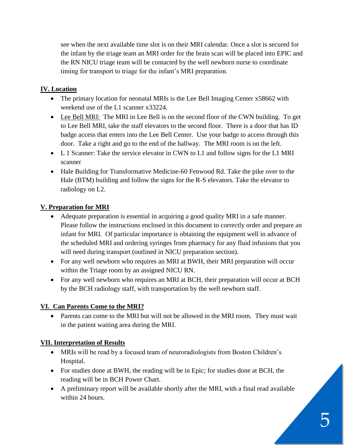see when the next available time slot is on their MRI calendar. Once a slot is secured for the infant by the triage team an MRI order for the brain scan will be placed into EPIC and the RN NICU triage team will be contacted by the well newborn nurse to coordinate timing for transport to triage for the infant's MRI preparation.

# **IV. Location**

- The primary location for neonatal MRIs is the Lee Bell Imaging Center x58662 with weekend use of the L1 scanner x33224.
- Lee Bell MRI: The MRI in Lee Bell is on the second floor of the CWN building. To get to Lee Bell MRI, take the staff elevators to the second floor. There is a door that has ID badge access that enters into the Lee Bell Center. Use your badge to access through this door. Take a right and go to the end of the hallway. The MRI room is on the left.
- L 1 Scanner: Take the service elevator in CWN to L1 and follow signs for the L1 MRI scanner
- Hale Building for Transformative Medicine-60 Fenwood Rd. Take the pike over to the Hale (BTM) building and follow the signs for the R-S elevators. Take the elevator to radiology on L2.

# **V. Preparation for MRI**

- Adequate preparation is essential in acquiring a good quality MRI in a safe manner. Please follow the instructions enclosed in this document to correctly order and prepare an infant for MRI. Of particular importance is obtaining the equipment well in advance of the scheduled MRI and ordering syringes from pharmacy for any fluid infusions that you will need during transport (outlined in NICU preparation section).
- For any well newborn who requires an MRI at BWH, their MRI preparation will occur within the Triage room by an assigned NICU RN.
- For any well newborn who requires an MRI at BCH, their preparation will occur at BCH by the BCH radiology staff, with transportation by the well newborn staff.

# **VI. Can Parents Come to the MRI?**

• Parents can come to the MRI but will not be allowed in the MRI room. They must wait in the patient waiting area during the MRI.

# **VII. Interpretation of Results**

- MRIs will be read by a focused team of neuroradiologists from Boston Children's Hospital.
- For studies done at BWH, the reading will be in Epic; for studies done at BCH, the reading will be in BCH Power Chart.
- A preliminary report will be available shortly after the MRI, with a final read available within 24 hours.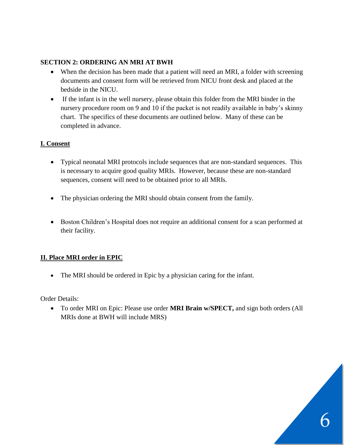## **SECTION 2: ORDERING AN MRI AT BWH**

- When the decision has been made that a patient will need an MRI, a folder with screening documents and consent form will be retrieved from NICU front desk and placed at the bedside in the NICU.
- If the infant is in the well nursery, please obtain this folder from the MRI binder in the nursery procedure room on 9 and 10 if the packet is not readily available in baby's skinny chart. The specifics of these documents are outlined below. Many of these can be completed in advance.

#### **I. Consent**

- Typical neonatal MRI protocols include sequences that are non-standard sequences. This is necessary to acquire good quality MRIs. However, because these are non-standard sequences, consent will need to be obtained prior to all MRIs.
- The physician ordering the MRI should obtain consent from the family.
- Boston Children's Hospital does not require an additional consent for a scan performed at their facility.

#### **II. Place MRI order in EPIC**

• The MRI should be ordered in Epic by a physician caring for the infant.

Order Details:

• To order MRI on Epic: Please use order **MRI Brain w/SPECT,** and sign both orders (All MRIs done at BWH will include MRS)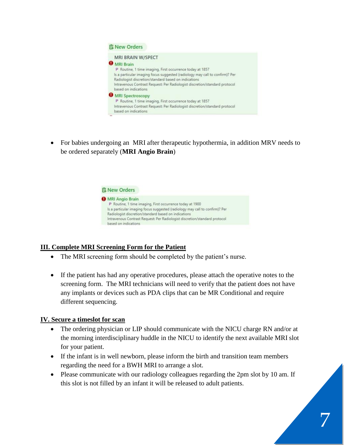

• For babies undergoing an MRI after therapeutic hypothermia, in addition MRV needs to be ordered separately (**MRI Angio Brain**)



# **III. Complete MRI Screening Form for the Patient**

- The MRI screening form should be completed by the patient's nurse.
- If the patient has had any operative procedures, please attach the operative notes to the screening form. The MRI technicians will need to verify that the patient does not have any implants or devices such as PDA clips that can be MR Conditional and require different sequencing.

#### **IV. Secure a timeslot for scan**

- The ordering physician or LIP should communicate with the NICU charge RN and/or at the morning interdisciplinary huddle in the NICU to identify the next available MRI slot for your patient.
- If the infant is in well newborn, please inform the birth and transition team members regarding the need for a BWH MRI to arrange a slot.
- Please communicate with our radiology colleagues regarding the 2pm slot by 10 am. If this slot is not filled by an infant it will be released to adult patients.

7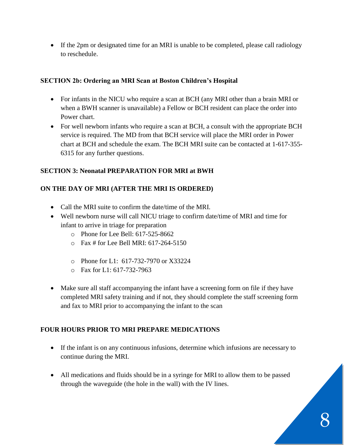• If the 2pm or designated time for an MRI is unable to be completed, please call radiology to reschedule.

#### **SECTION 2b: Ordering an MRI Scan at Boston Children's Hospital**

- For infants in the NICU who require a scan at BCH (any MRI other than a brain MRI or when a BWH scanner is unavailable) a Fellow or BCH resident can place the order into Power chart.
- For well newborn infants who require a scan at BCH, a consult with the appropriate BCH service is required. The MD from that BCH service will place the MRI order in Power chart at BCH and schedule the exam. The BCH MRI suite can be contacted at 1-617-355- 6315 for any further questions.

#### **SECTION 3: Neonatal PREPARATION FOR MRI at BWH**

# **ON THE DAY OF MRI (AFTER THE MRI IS ORDERED)**

- Call the MRI suite to confirm the date/time of the MRI.
- Well newborn nurse will call NICU triage to confirm date/time of MRI and time for infant to arrive in triage for preparation
	- o Phone for Lee Bell: 617-525-8662
	- o Fax # for Lee Bell MRI: 617-264-5150
	- o Phone for L1: 617-732-7970 or X33224
	- o Fax for L1: 617-732-7963
- Make sure all staff accompanying the infant have a screening form on file if they have completed MRI safety training and if not, they should complete the staff screening form and fax to MRI prior to accompanying the infant to the scan

# **FOUR HOURS PRIOR TO MRI PREPARE MEDICATIONS**

- If the infant is on any continuous infusions, determine which infusions are necessary to continue during the MRI.
- All medications and fluids should be in a syringe for MRI to allow them to be passed through the waveguide (the hole in the wall) with the IV lines.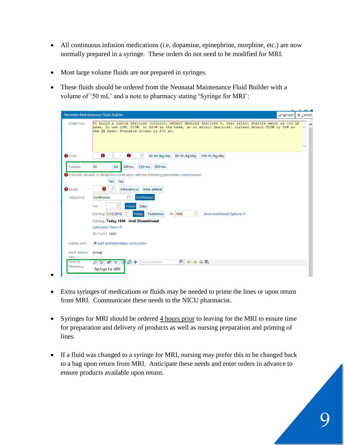- All continuous infusion medications (i.e. dopamine, epinephrine, morphine, etc.) are now normally prepared in a syringe. These orders do not need to be modified for MRI.
- Most large volume fluids are not prepared in syringes.
- These fluids should be ordered from the Neonatal Maintenance Fluid Builder with a volume of '50 mL' and a note to pharmacy stating 'Syringe for MRI':

|                               | Neonate Maintenance Fluid Builder<br>$\checkmark$ Accept<br>X Cancel                                                                                                                                                                                |
|-------------------------------|-----------------------------------------------------------------------------------------------------------------------------------------------------------------------------------------------------------------------------------------------------|
| Order Inst.:                  | To build a custom dextrose infusion, select desired dextrose %, then select sterile water as the QS<br>base. To use D5W, D10W, or D20W as the base, do no select dextrose; instead select D10W or D5W as<br>the OS base. Standard volume is 500 mL. |
| <b>O</b> Dose:                | ø<br>0<br>Ω<br>60 mL/kg/day<br>80 mL/kg/day<br>100 mL/kg/day                                                                                                                                                                                        |
| Volume:                       | 50<br>100 mL<br>250 mL<br>500 mL<br>mL                                                                                                                                                                                                              |
|                               | Is the RN allowed to titrate this medication with the following parameters listed below?                                                                                                                                                            |
|                               | <b>No</b><br>Yes:                                                                                                                                                                                                                                   |
| <b>A</b> Route:               | 8<br>-O<br>Intra-arterial<br>Intravenous                                                                                                                                                                                                            |
| Frequency:                    | ρ<br>Continuous<br>Continuous                                                                                                                                                                                                                       |
|                               | $\Box$<br>Days<br>For:<br><b>Hours</b>                                                                                                                                                                                                              |
|                               | Starting: 7/12/2019 <b>□</b><br>⊕<br>Today<br>Tomorrow<br>At: 1600<br>Show Additional Options $\mathcal$                                                                                                                                            |
|                               | Starting: Today 1600 Until Discontinued                                                                                                                                                                                                             |
|                               | Scheduled Times &                                                                                                                                                                                                                                   |
|                               | 07/12/19 1600                                                                                                                                                                                                                                       |
| Admin. Inst.:                 | + Add Administration Instructions                                                                                                                                                                                                                   |
| Prod. Admin. (none)<br>Inst.: |                                                                                                                                                                                                                                                     |
| Note to<br>Pharmacy:          | 同 ⇔ ⇒ ≼ 最<br>$\mathcal{D} +$<br>≫™षा<br>Insert SmartText<br>$\overline{13}$                                                                                                                                                                         |
|                               | <b>Syringe for MRI</b>                                                                                                                                                                                                                              |

- •
- Extra syringes of medications or fluids may be needed to prime the lines or upon return from MRI. Communicate these needs to the NICU pharmacist.
- Syringes for MRI should be ordered 4 hours prior to leaving for the MRI to ensure time for preparation and delivery of products as well as nursing preparation and priming of lines.
- If a fluid was changed to a syringe for MRI, nursing may prefer this to be changed back to a bag upon return from MRI. Anticipate these needs and enter orders in advance to ensure products available upon return.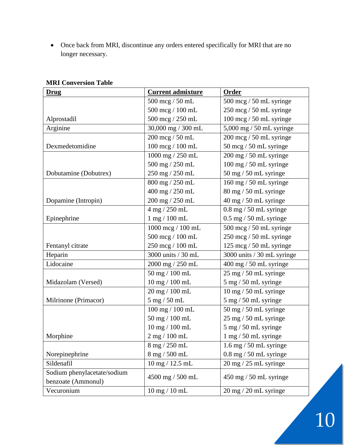• Once back from MRI, discontinue any orders entered specifically for MRI that are no longer necessary.

| <b>Drug</b>                 | <b>Current admixture</b>               | Order                                     |
|-----------------------------|----------------------------------------|-------------------------------------------|
|                             | 500 mcg / 50 mL                        | $500 \text{~mg}$ / $50 \text{~m}$ syringe |
|                             | 500 mcg / 100 mL                       | 250 mcg / 50 mL syringe                   |
| Alprostadil                 | 500 mcg / 250 mL                       | 100 mcg / 50 mL syringe                   |
| Arginine                    | 30,000 mg / 300 mL                     | $5,000$ mg / 50 mL syringe                |
|                             | 200 mcg / 50 mL                        | $200 \text{~mg}$ / 50 mL syringe          |
| Dexmedetomidine             | $100~\mathrm{mcg}$ / $100~\mathrm{mL}$ | 50 mcg / 50 mL syringe                    |
|                             | 1000 mg / 250 mL                       | 200 mg / 50 mL syringe                    |
|                             | 500 mg / 250 mL                        | $100$ mg $/$ 50 mL syringe $\,$           |
| Dobutamine (Dobutrex)       | 250 mg / 250 mL                        | $50$ mg $/ 50$ mL syringe                 |
|                             | 800 mg / 250 mL                        | $160$ mg $/50$ mL syringe                 |
|                             | $400$ mg $\!/$ 250 mL                  | $80 \text{ mg}$ / 50 mL syringe           |
| Dopamine (Intropin)         | 200 mg / 250 mL                        | 40 mg / 50 mL syringe                     |
|                             | 4 mg / 250 mL                          | $0.8$ mg $/50$ mL syringe                 |
| Epinephrine                 | 1 mg / 100 mL                          | $0.5$ mg $/50$ mL syringe                 |
|                             | 1000 mcg / 100 mL                      | 500 mcg / 50 mL syringe                   |
|                             | 500 mcg / 100 mL                       | 250 mcg / 50 mL syringe                   |
| Fentanyl citrate            | 250 mcg / 100 mL                       | 125 mcg / 50 mL syringe                   |
| Heparin                     | 3000 units / 30 mL                     | 3000 units / 30 mL syringe                |
| Lidocaine                   | 2000 mg / 250 mL                       | 400 mg / 50 mL syringe                    |
|                             | 50 mg / 100 mL                         | $25 \text{ mg} / 50 \text{ mL}$ syringe   |
| Midazolam (Versed)          | 10 mg / 100 mL                         | 5 mg / 50 mL syringe                      |
|                             | 20 mg / 100 mL                         | $10$ mg $/50$ mL syringe                  |
| Milrinone (Primacor)        | 5 mg / 50 mL                           | 5 mg / 50 mL syringe                      |
|                             | 100 mg / 100 mL                        | $50$ mg $/ 50$ mL syringe                 |
|                             | 50 mg / 100 mL                         | 25 mg / 50 mL syringe                     |
|                             | 10 mg / 100 mL                         | 5 mg / 50 mL syringe                      |
| Morphine                    | $2$ mg $/ 100$ mL                      | 1 mg / 50 mL syringe                      |
|                             | 8 mg / 250 mL                          | $1.6$ mg $/50$ mL syringe                 |
| Norepinephrine              | 8 mg / 500 mL                          | $0.8$ mg $/50$ mL syringe                 |
| Sildenafil                  | 10 mg / 12.5 mL                        | $20$ mg $/25$ mL syringe                  |
| Sodium phenylacetate/sodium |                                        |                                           |
| benzoate (Ammonul)          | 4500 mg / 500 mL                       | $450 \text{ mg}$ / 50 mL syringe          |
| Vecuronium                  | $10$ mg $/ 10$ mL                      | 20 mg / 20 mL syringe                     |

#### **MRI Conversion Table**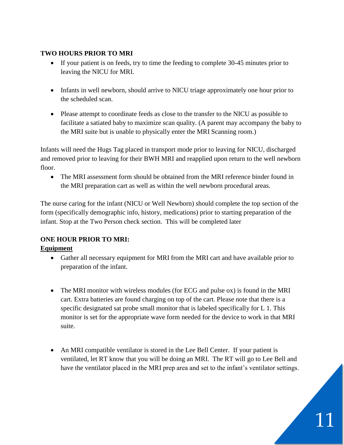#### **TWO HOURS PRIOR TO MRI**

- If your patient is on feeds, try to time the feeding to complete 30-45 minutes prior to leaving the NICU for MRI.
- Infants in well newborn, should arrive to NICU triage approximately one hour prior to the scheduled scan.
- Please attempt to coordinate feeds as close to the transfer to the NICU as possible to facilitate a satiated baby to maximize scan quality. (A parent may accompany the baby to the MRI suite but is unable to physically enter the MRI Scanning room.)

Infants will need the Hugs Tag placed in transport mode prior to leaving for NICU, discharged and removed prior to leaving for their BWH MRI and reapplied upon return to the well newborn floor.

• The MRI assessment form should be obtained from the MRI reference binder found in the MRI preparation cart as well as within the well newborn procedural areas.

The nurse caring for the infant (NICU or Well Newborn) should complete the top section of the form (specifically demographic info, history, medications) prior to starting preparation of the infant. Stop at the Two Person check section. This will be completed later

# **ONE HOUR PRIOR TO MRI:**

# **Equipment**

- Gather all necessary equipment for MRI from the MRI cart and have available prior to preparation of the infant.
- The MRI monitor with wireless modules (for ECG and pulse ox) is found in the MRI cart. Extra batteries are found charging on top of the cart. Please note that there is a specific designated sat probe small monitor that is labeled specifically for L 1. This monitor is set for the appropriate wave form needed for the device to work in that MRI suite.
- An MRI compatible ventilator is stored in the Lee Bell Center. If your patient is ventilated, let RT know that you will be doing an MRI. The RT will go to Lee Bell and have the ventilator placed in the MRI prep area and set to the infant's ventilator settings.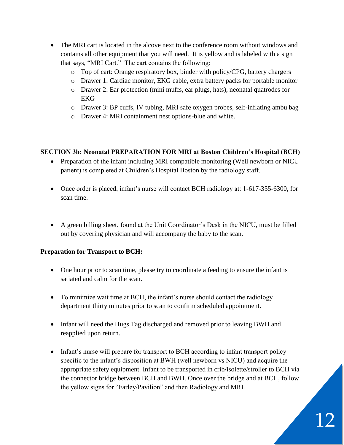- The MRI cart is located in the alcove next to the conference room without windows and contains all other equipment that you will need. It is yellow and is labeled with a sign that says, "MRI Cart." The cart contains the following:
	- o Top of cart: Orange respiratory box, binder with policy/CPG, battery chargers
	- o Drawer 1: Cardiac monitor, EKG cable, extra battery packs for portable monitor
	- o Drawer 2: Ear protection (mini muffs, ear plugs, hats), neonatal quatrodes for EKG
	- o Drawer 3: BP cuffs, IV tubing, MRI safe oxygen probes, self-inflating ambu bag
	- o Drawer 4: MRI containment nest options-blue and white.

#### **SECTION 3b: Neonatal PREPARATION FOR MRI at Boston Children's Hospital (BCH)**

- Preparation of the infant including MRI compatible monitoring (Well newborn or NICU) patient) is completed at Children's Hospital Boston by the radiology staff.
- Once order is placed, infant's nurse will contact BCH radiology at: 1-617-355-6300, for scan time.
- A green billing sheet, found at the Unit Coordinator's Desk in the NICU, must be filled out by covering physician and will accompany the baby to the scan.

#### **Preparation for Transport to BCH:**

- One hour prior to scan time, please try to coordinate a feeding to ensure the infant is satiated and calm for the scan.
- To minimize wait time at BCH, the infant's nurse should contact the radiology department thirty minutes prior to scan to confirm scheduled appointment.
- Infant will need the Hugs Tag discharged and removed prior to leaving BWH and reapplied upon return.
- Infant's nurse will prepare for transport to BCH according to infant transport policy specific to the infant's disposition at BWH (well newborn vs NICU) and acquire the appropriate safety equipment. Infant to be transported in crib/isolette/stroller to BCH via the connector bridge between BCH and BWH. Once over the bridge and at BCH, follow the yellow signs for "Farley/Pavilion" and then Radiology and MRI.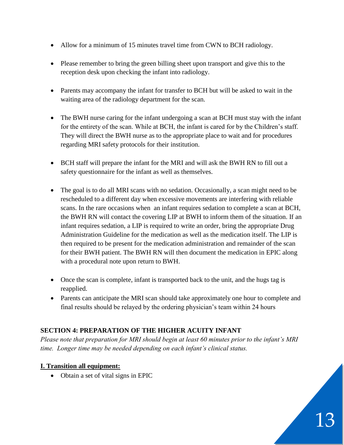- Allow for a minimum of 15 minutes travel time from CWN to BCH radiology.
- Please remember to bring the green billing sheet upon transport and give this to the reception desk upon checking the infant into radiology.
- Parents may accompany the infant for transfer to BCH but will be asked to wait in the waiting area of the radiology department for the scan.
- The BWH nurse caring for the infant undergoing a scan at BCH must stay with the infant for the entirety of the scan. While at BCH, the infant is cared for by the Children's staff. They will direct the BWH nurse as to the appropriate place to wait and for procedures regarding MRI safety protocols for their institution.
- BCH staff will prepare the infant for the MRI and will ask the BWH RN to fill out a safety questionnaire for the infant as well as themselves.
- The goal is to do all MRI scans with no sedation. Occasionally, a scan might need to be rescheduled to a different day when excessive movements are interfering with reliable scans. In the rare occasions when an infant requires sedation to complete a scan at BCH, the BWH RN will contact the covering LIP at BWH to inform them of the situation. If an infant requires sedation, a LIP is required to write an order, bring the appropriate Drug Administration Guideline for the medication as well as the medication itself. The LIP is then required to be present for the medication administration and remainder of the scan for their BWH patient. The BWH RN will then document the medication in EPIC along with a procedural note upon return to BWH.
- Once the scan is complete, infant is transported back to the unit, and the hugs tag is reapplied.
- Parents can anticipate the MRI scan should take approximately one hour to complete and final results should be relayed by the ordering physician's team within 24 hours

# **SECTION 4: PREPARATION OF THE HIGHER ACUITY INFANT**

*Please note that preparation for MRI should begin at least 60 minutes prior to the infant's MRI time. Longer time may be needed depending on each infant's clinical status.*

#### **I. Transition all equipment:**

• Obtain a set of vital signs in EPIC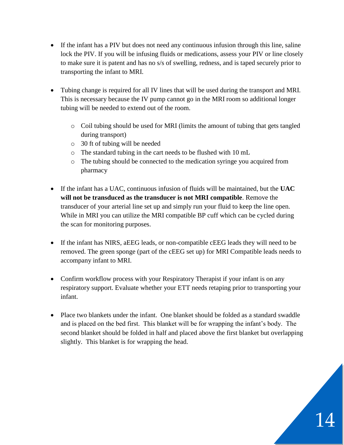- If the infant has a PIV but does not need any continuous infusion through this line, saline lock the PIV. If you will be infusing fluids or medications, assess your PIV or line closely to make sure it is patent and has no s/s of swelling, redness, and is taped securely prior to transporting the infant to MRI.
- Tubing change is required for all IV lines that will be used during the transport and MRI. This is necessary because the IV pump cannot go in the MRI room so additional longer tubing will be needed to extend out of the room.
	- o Coil tubing should be used for MRI (limits the amount of tubing that gets tangled during transport)
	- o 30 ft of tubing will be needed
	- o The standard tubing in the cart needs to be flushed with 10 mL
	- o The tubing should be connected to the medication syringe you acquired from pharmacy
- If the infant has a UAC, continuous infusion of fluids will be maintained, but the **UAC will not be transduced as the transducer is not MRI compatible**. Remove the transducer of your arterial line set up and simply run your fluid to keep the line open. While in MRI you can utilize the MRI compatible BP cuff which can be cycled during the scan for monitoring purposes.
- If the infant has NIRS, aEEG leads, or non-compatible cEEG leads they will need to be removed. The green sponge (part of the cEEG set up) for MRI Compatible leads needs to accompany infant to MRI.
- Confirm workflow process with your Respiratory Therapist if your infant is on any respiratory support. Evaluate whether your ETT needs retaping prior to transporting your infant.
- Place two blankets under the infant. One blanket should be folded as a standard swaddle and is placed on the bed first. This blanket will be for wrapping the infant's body. The second blanket should be folded in half and placed above the first blanket but overlapping slightly. This blanket is for wrapping the head.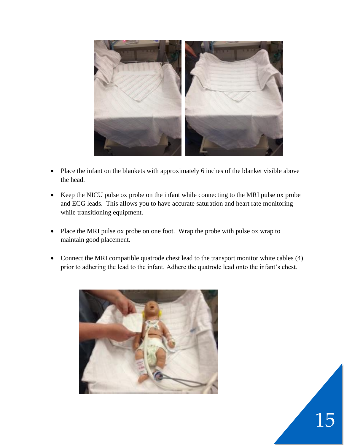

- Place the infant on the blankets with approximately 6 inches of the blanket visible above the head.
- Keep the NICU pulse ox probe on the infant while connecting to the MRI pulse ox probe and ECG leads. This allows you to have accurate saturation and heart rate monitoring while transitioning equipment.
- Place the MRI pulse ox probe on one foot. Wrap the probe with pulse ox wrap to maintain good placement.
- Connect the MRI compatible quatrode chest lead to the transport monitor white cables (4) prior to adhering the lead to the infant. Adhere the quatrode lead onto the infant's chest.

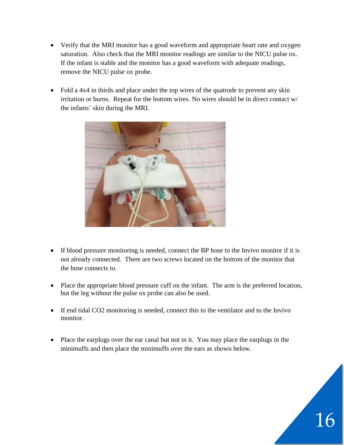- Verify that the MRI monitor has a good waveform and appropriate heart rate and oxygen saturation. Also check that the MRI monitor readings are similar to the NICU pulse ox. If the infant is stable and the monitor has a good waveform with adequate readings, remove the NICU pulse ox probe.
- Fold a 4x4 in thirds and place under the top wires of the quatrode to prevent any skin irritation or burns. Repeat for the bottom wires. No wires should be in direct contact w/ the infants' skin during the MRI.



- If blood pressure monitoring is needed, connect the BP hose to the Invivo monitor if it is not already connected. There are two screws located on the bottom of the monitor that the hose connects to.
- Place the appropriate blood pressure cuff on the infant. The arm is the preferred location, but the leg without the pulse ox probe can also be used.
- If end tidal CO2 monitoring is needed, connect this to the ventilator and to the Invivo monitor.
- Place the earplugs over the ear canal but not in it. You may place the earplugs in the minimuffs and then place the minimuffs over the ears as shown below.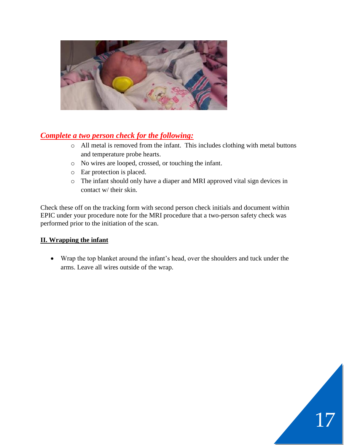

# *Complete a two person check for the following:*

- o All metal is removed from the infant. This includes clothing with metal buttons and temperature probe hearts.
- o No wires are looped, crossed, or touching the infant.
- o Ear protection is placed.
- o The infant should only have a diaper and MRI approved vital sign devices in contact w/ their skin.

Check these off on the tracking form with second person check initials and document within EPIC under your procedure note for the MRI procedure that a two-person safety check was performed prior to the initiation of the scan.

# **II. Wrapping the infant**

• Wrap the top blanket around the infant's head, over the shoulders and tuck under the arms. Leave all wires outside of the wrap.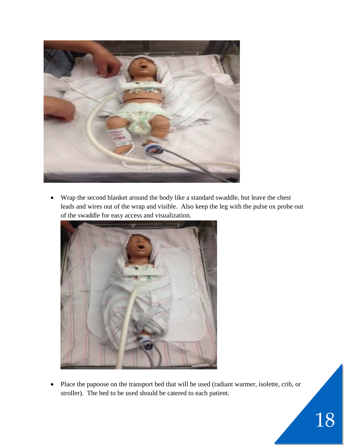

• Wrap the second blanket around the body like a standard swaddle, but leave the chest leads and wires out of the wrap and visible. Also keep the leg with the pulse ox probe out of the swaddle for easy access and visualization.



• Place the papoose on the transport bed that will be used (radiant warmer, isolette, crib, or stroller). The bed to be used should be catered to each patient.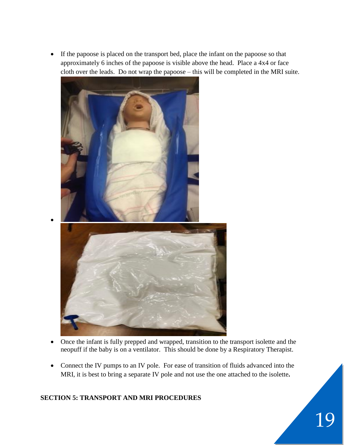• If the papoose is placed on the transport bed, place the infant on the papoose so that approximately 6 inches of the papoose is visible above the head. Place a 4x4 or face cloth over the leads. Do not wrap the papoose – this will be completed in the MRI suite.



- Once the infant is fully prepped and wrapped, transition to the transport isolette and the neopuff if the baby is on a ventilator. This should be done by a Respiratory Therapist.
- Connect the IV pumps to an IV pole. For ease of transition of fluids advanced into the MRI, it is best to bring a separate IV pole and not use the one attached to the isolette**.**

#### **SECTION 5: TRANSPORT AND MRI PROCEDURES**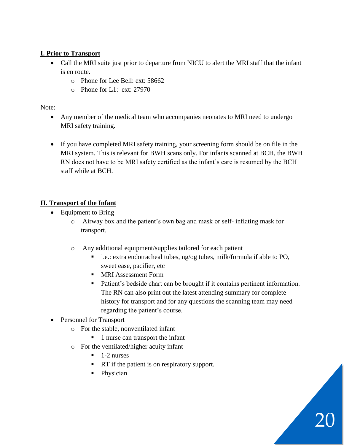# **I. Prior to Transport**

- Call the MRI suite just prior to departure from NICU to alert the MRI staff that the infant is en route.
	- o Phone for Lee Bell: ext: 58662
	- o Phone for L1: ext: 27970

Note:

- Any member of the medical team who accompanies neonates to MRI need to undergo MRI safety training.
- If you have completed MRI safety training, your screening form should be on file in the MRI system. This is relevant for BWH scans only. For infants scanned at BCH, the BWH RN does not have to be MRI safety certified as the infant's care is resumed by the BCH staff while at BCH.

# **II. Transport of the Infant**

- Equipment to Bring
	- o Airway box and the patient's own bag and mask or self- inflating mask for transport.
	- o Any additional equipment/supplies tailored for each patient
		- i.e.: extra endotracheal tubes, ng/og tubes, milk/formula if able to PO, sweet ease, pacifier, etc
		- MRI Assessment Form
		- Patient's bedside chart can be brought if it contains pertinent information. The RN can also print out the latest attending summary for complete history for transport and for any questions the scanning team may need regarding the patient's course.
- Personnel for Transport
	- o For the stable, nonventilated infant
		- 1 nurse can transport the infant
	- o For the ventilated/higher acuity infant
		- $\blacksquare$  1-2 nurses
		- RT if the patient is on respiratory support.
		- Physician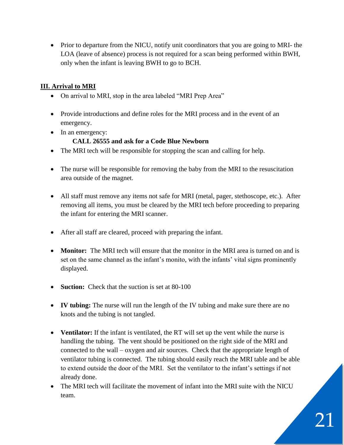• Prior to departure from the NICU, notify unit coordinators that you are going to MRI- the LOA (leave of absence) process is not required for a scan being performed within BWH, only when the infant is leaving BWH to go to BCH.

# **III. Arrival to MRI**

- On arrival to MRI, stop in the area labeled "MRI Prep Area"
- Provide introductions and define roles for the MRI process and in the event of an emergency.
- In an emergency:

#### **CALL 26555 and ask for a Code Blue Newborn**

- The MRI tech will be responsible for stopping the scan and calling for help.
- The nurse will be responsible for removing the baby from the MRI to the resuscitation area outside of the magnet.
- All staff must remove any items not safe for MRI (metal, pager, stethoscope, etc.). After removing all items, you must be cleared by the MRI tech before proceeding to preparing the infant for entering the MRI scanner.
- After all staff are cleared, proceed with preparing the infant.
- **Monitor:** The MRI tech will ensure that the monitor in the MRI area is turned on and is set on the same channel as the infant's monito, with the infants' vital signs prominently displayed.
- **Suction:** Check that the suction is set at 80-100
- **IV tubing:** The nurse will run the length of the IV tubing and make sure there are no knots and the tubing is not tangled.
- **Ventilator:** If the infant is ventilated, the RT will set up the vent while the nurse is handling the tubing. The vent should be positioned on the right side of the MRI and connected to the wall – oxygen and air sources. Check that the appropriate length of ventilator tubing is connected. The tubing should easily reach the MRI table and be able to extend outside the door of the MRI. Set the ventilator to the infant's settings if not already done.
- The MRI tech will facilitate the movement of infant into the MRI suite with the NICU team.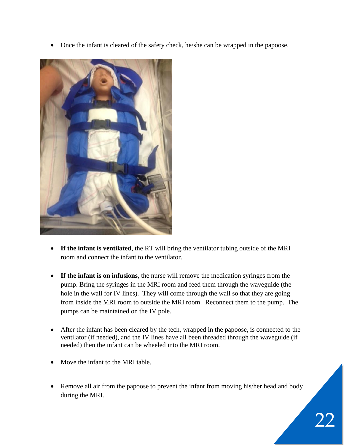• Once the infant is cleared of the safety check, he/she can be wrapped in the papoose.



- **If the infant is ventilated**, the RT will bring the ventilator tubing outside of the MRI room and connect the infant to the ventilator.
- **If the infant is on infusions**, the nurse will remove the medication syringes from the pump. Bring the syringes in the MRI room and feed them through the waveguide (the hole in the wall for IV lines). They will come through the wall so that they are going from inside the MRI room to outside the MRI room. Reconnect them to the pump. The pumps can be maintained on the IV pole.
- After the infant has been cleared by the tech, wrapped in the papoose, is connected to the ventilator (if needed), and the IV lines have all been threaded through the waveguide (if needed) then the infant can be wheeled into the MRI room.
- Move the infant to the MRI table.
- Remove all air from the papoose to prevent the infant from moving his/her head and body during the MRI.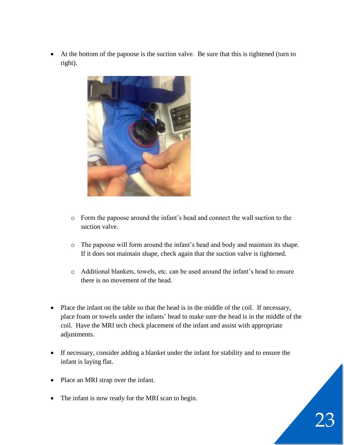• At the bottom of the papoose is the suction valve. Be sure that this is tightened (turn to right).



- o Form the papoose around the infant's head and connect the wall suction to the suction valve.
- o The papoose will form around the infant's head and body and maintain its shape. If it does not maintain shape, check again that the suction valve is tightened.
- o Additional blankets, towels, etc. can be used around the infant's head to ensure there is no movement of the head.
- Place the infant on the table so that the head is in the middle of the coil. If necessary, place foam or towels under the infants' head to make sure the head is in the middle of the coil. Have the MRI tech check placement of the infant and assist with appropriate adjustments.
- If necessary, consider adding a blanket under the infant for stability and to ensure the infant is laying flat.
- Place an MRI strap over the infant.
- The infant is now ready for the MRI scan to begin.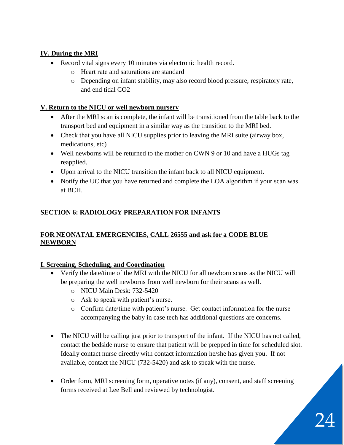# **IV. During the MRI**

- Record vital signs every 10 minutes via electronic health record.
	- o Heart rate and saturations are standard
	- o Depending on infant stability, may also record blood pressure, respiratory rate, and end tidal CO2

#### **V. Return to the NICU or well newborn nursery**

- After the MRI scan is complete, the infant will be transitioned from the table back to the transport bed and equipment in a similar way as the transition to the MRI bed.
- Check that you have all NICU supplies prior to leaving the MRI suite (airway box, medications, etc)
- Well newborns will be returned to the mother on CWN 9 or 10 and have a HUGs tag reapplied.
- Upon arrival to the NICU transition the infant back to all NICU equipment.
- Notify the UC that you have returned and complete the LOA algorithm if your scan was at BCH.

# **SECTION 6: RADIOLOGY PREPARATION FOR INFANTS**

# **FOR NEONATAL EMERGENCIES, CALL 26555 and ask for a CODE BLUE NEWBORN**

# **I. Screening, Scheduling, and Coordination**

- Verify the date/time of the MRI with the NICU for all newborn scans as the NICU will be preparing the well newborns from well newborn for their scans as well.
	- o NICU Main Desk: 732-5420
	- o Ask to speak with patient's nurse.
	- o Confirm date/time with patient's nurse. Get contact information for the nurse accompanying the baby in case tech has additional questions are concerns.
- The NICU will be calling just prior to transport of the infant. If the NICU has not called, contact the bedside nurse to ensure that patient will be prepped in time for scheduled slot. Ideally contact nurse directly with contact information he/she has given you. If not available, contact the NICU (732-5420) and ask to speak with the nurse.
- Order form, MRI screening form, operative notes (if any), consent, and staff screening forms received at Lee Bell and reviewed by technologist.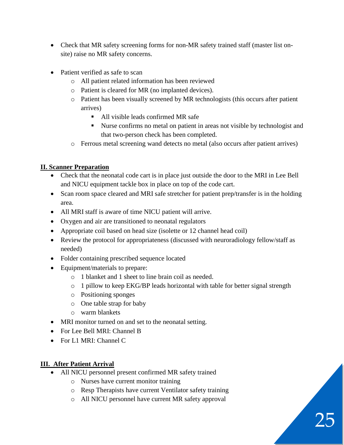- Check that MR safety screening forms for non-MR safety trained staff (master list onsite) raise no MR safety concerns.
- Patient verified as safe to scan
	- o All patient related information has been reviewed
	- o Patient is cleared for MR (no implanted devices).
	- o Patient has been visually screened by MR technologists (this occurs after patient arrives)
		- All visible leads confirmed MR safe
		- Nurse confirms no metal on patient in areas not visible by technologist and that two-person check has been completed.
	- o Ferrous metal screening wand detects no metal (also occurs after patient arrives)

#### **II. Scanner Preparation**

- Check that the neonatal code cart is in place just outside the door to the MRI in Lee Bell and NICU equipment tackle box in place on top of the code cart.
- Scan room space cleared and MRI safe stretcher for patient prep/transfer is in the holding area.
- All MRI staff is aware of time NICU patient will arrive.
- Oxygen and air are transitioned to neonatal regulators
- Appropriate coil based on head size (isolette or 12 channel head coil)
- Review the protocol for appropriateness (discussed with neuroradiology fellow/staff as needed)
- Folder containing prescribed sequence located
- Equipment/materials to prepare:
	- o 1 blanket and 1 sheet to line brain coil as needed.
	- o 1 pillow to keep EKG/BP leads horizontal with table for better signal strength
	- o Positioning sponges
	- o One table strap for baby
	- o warm blankets
- MRI monitor turned on and set to the neonatal setting.
- For Lee Bell MRI: Channel B
- For L1 MRI: Channel C

# **III. After Patient Arrival**

- All NICU personnel present confirmed MR safety trained
	- o Nurses have current monitor training
	- o Resp Therapists have current Ventilator safety training
	- o All NICU personnel have current MR safety approval